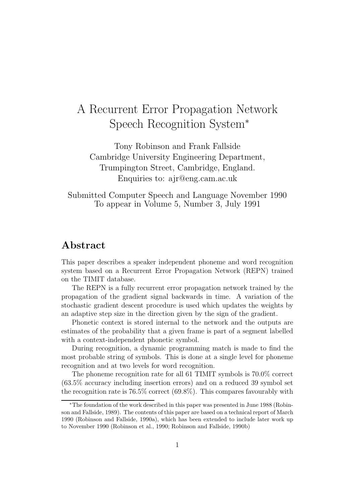# A Recurrent Error Propagation Network Speech Recognition System<sup>∗</sup>

Tony Robinson and Frank Fallside Cambridge University Engineering Department, Trumpington Street, Cambridge, England. Enquiries to: ajr@eng.cam.ac.uk

Submitted Computer Speech and Language November 1990 To appear in Volume 5, Number 3, July 1991

# Abstract

This paper describes a speaker independent phoneme and word recognition system based on a Recurrent Error Propagation Network (REPN) trained on the TIMIT database.

The REPN is a fully recurrent error propagation network trained by the propagation of the gradient signal backwards in time. A variation of the stochastic gradient descent procedure is used which updates the weights by an adaptive step size in the direction given by the sign of the gradient.

Phonetic context is stored internal to the network and the outputs are estimates of the probability that a given frame is part of a segment labelled with a context-independent phonetic symbol.

During recognition, a dynamic programming match is made to find the most probable string of symbols. This is done at a single level for phoneme recognition and at two levels for word recognition.

The phoneme recognition rate for all 61 TIMIT symbols is 70.0% correct (63.5% accuracy including insertion errors) and on a reduced 39 symbol set the recognition rate is 76.5% correct (69.8%). This compares favourably with

<sup>∗</sup>The foundation of the work described in this paper was presented in June 1988 (Robinson and Fallside, 1989). The contents of this paper are based on a technical report of March 1990 (Robinson and Fallside, 1990a), which has been extended to include later work up to November 1990 (Robinson et al., 1990; Robinson and Fallside, 1990b)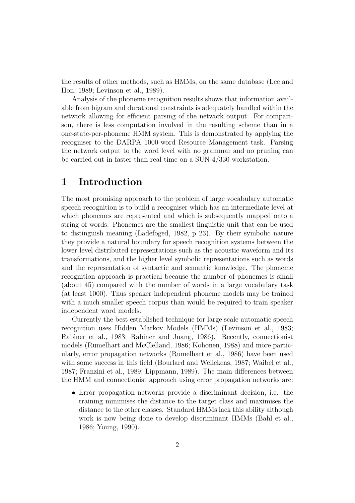the results of other methods, such as HMMs, on the same database (Lee and Hon, 1989; Levinson et al., 1989).

Analysis of the phoneme recognition results shows that information available from bigram and durational constraints is adequately handled within the network allowing for efficient parsing of the network output. For comparison, there is less computation involved in the resulting scheme than in a one-state-per-phoneme HMM system. This is demonstrated by applying the recogniser to the DARPA 1000-word Resource Management task. Parsing the network output to the word level with no grammar and no pruning can be carried out in faster than real time on a SUN 4/330 workstation.

# 1 Introduction

The most promising approach to the problem of large vocabulary automatic speech recognition is to build a recogniser which has an intermediate level at which phonemes are represented and which is subsequently mapped onto a string of words. Phonemes are the smallest linguistic unit that can be used to distinguish meaning (Ladefoged, 1982, p 23). By their symbolic nature they provide a natural boundary for speech recognition systems between the lower level distributed representations such as the acoustic waveform and its transformations, and the higher level symbolic representations such as words and the representation of syntactic and semantic knowledge. The phoneme recognition approach is practical because the number of phonemes is small (about 45) compared with the number of words in a large vocabulary task (at least 1000). Thus speaker independent phoneme models may be trained with a much smaller speech corpus than would be required to train speaker independent word models.

Currently the best established technique for large scale automatic speech recognition uses Hidden Markov Models (HMMs) (Levinson et al., 1983; Rabiner et al., 1983; Rabiner and Juang, 1986). Recently, connectionist models (Rumelhart and McClelland, 1986; Kohonen, 1988) and more particularly, error propagation networks (Rumelhart et al., 1986) have been used with some success in this field (Bourlard and Wellekens, 1987; Waibel et al., 1987; Franzini et al., 1989; Lippmann, 1989). The main differences between the HMM and connectionist approach using error propagation networks are:

• Error propagation networks provide a discriminant decision, i.e. the training minimises the distance to the target class and maximises the distance to the other classes. Standard HMMs lack this ability although work is now being done to develop discriminant HMMs (Bahl et al., 1986; Young, 1990).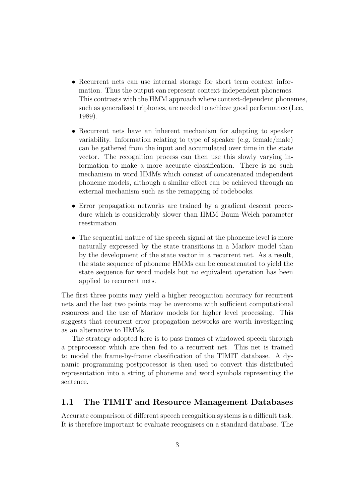- Recurrent nets can use internal storage for short term context information. Thus the output can represent context-independent phonemes. This contrasts with the HMM approach where context-dependent phonemes, such as generalised triphones, are needed to achieve good performance (Lee, 1989).
- Recurrent nets have an inherent mechanism for adapting to speaker variability. Information relating to type of speaker (e.g. female/male) can be gathered from the input and accumulated over time in the state vector. The recognition process can then use this slowly varying information to make a more accurate classification. There is no such mechanism in word HMMs which consist of concatenated independent phoneme models, although a similar effect can be achieved through an external mechanism such as the remapping of codebooks.
- Error propagation networks are trained by a gradient descent procedure which is considerably slower than HMM Baum-Welch parameter reestimation.
- The sequential nature of the speech signal at the phoneme level is more naturally expressed by the state transitions in a Markov model than by the development of the state vector in a recurrent net. As a result, the state sequence of phoneme HMMs can be concatenated to yield the state sequence for word models but no equivalent operation has been applied to recurrent nets.

The first three points may yield a higher recognition accuracy for recurrent nets and the last two points may be overcome with sufficient computational resources and the use of Markov models for higher level processing. This suggests that recurrent error propagation networks are worth investigating as an alternative to HMMs.

The strategy adopted here is to pass frames of windowed speech through a preprocessor which are then fed to a recurrent net. This net is trained to model the frame-by-frame classification of the TIMIT database. A dynamic programming postprocessor is then used to convert this distributed representation into a string of phoneme and word symbols representing the sentence.

#### 1.1 The TIMIT and Resource Management Databases

Accurate comparison of different speech recognition systems is a difficult task. It is therefore important to evaluate recognisers on a standard database. The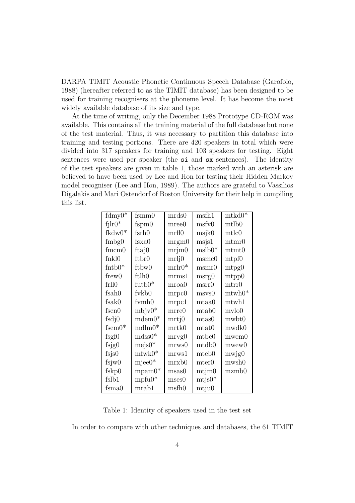DARPA TIMIT Acoustic Phonetic Continuous Speech Database (Garofolo, 1988) (hereafter referred to as the TIMIT database) has been designed to be used for training recognisers at the phoneme level. It has become the most widely available database of its size and type.

At the time of writing, only the December 1988 Prototype CD-ROM was available. This contains all the training material of the full database but none of the test material. Thus, it was necessary to partition this database into training and testing portions. There are 420 speakers in total which were divided into 317 speakers for training and 103 speakers for testing. Eight sentences were used per speaker (the si and sx sentences). The identity of the test speakers are given in table 1, those marked with an asterisk are believed to have been used by Lee and Hon for testing their Hidden Markov model recogniser (Lee and Hon, 1989). The authors are grateful to Vassilios Digalakis and Mari Ostendorf of Boston University for their help in compiling this list.

| $fdmy\overline{0*}$ | fsmm0             | mrds0       | msfh1                | ${\rm mtkd0}^{\overline{*}}$ |  |
|---------------------|-------------------|-------------|----------------------|------------------------------|--|
| $fjlr0*$            | fspm $0$          | $m$ ree $0$ | msfv0                | mtlb0                        |  |
| fkdw0*              | fsrh <sub>0</sub> | mrf10       | msjk0                | mtlc0                        |  |
| $f_{\rm mbg0}$      | $f$ sxa $0$       | $m$ rgm $0$ | msjs1                | mtnr0                        |  |
| $f$ mcm $0$         | ftaj0             | mrim0       | $mslb0*$             | $m$ tmt $0$                  |  |
| fnkl0               | ftbr0             | mrlj0       | msmc0                | mtpf0                        |  |
| $f$ ntb $0^*$       | ftbw0             | $mrlr0*$    | msmr0                | mtpg0                        |  |
| frew()              | ftlh0             | mrmsl       | msrg0                | mtpp0                        |  |
| frll0               | futb0*            | mroa0       | msrr0                | mtrr0                        |  |
| fsah0               | fykb0             | mrpc0       | $\rm{msvs}0$         | $m \text{twh0}^*$            |  |
| fsak0               | fymh0             | mpc1        | mtaa0                | mtwh1                        |  |
| $f_{\rm{scn0}}$     | $mbjv0*$          | $m$ rre $0$ | mtab0                | mvlo0                        |  |
| $f_{sdj0}$          | $mdem0*$          | mrtj0       | $_{\rm mtas0}$       | mwbt0                        |  |
| $f_{\rm sem0}$ *    | $mdlm0*$          | mrtk0       | $\mathrm{m}$ tat $0$ | mwdk0                        |  |
| $f$ sgf $0$         | $mdss0*$          | mryg0       | mtbc0                | mwem0                        |  |
| $f_{\rm sig}$       | $mejs0*$          | mrws0       | $\mathrm{mtdb}0$     | mwew0                        |  |
| fsjs0               | $m$ fwk $0^*$     | mrws1       | mteb <sub>0</sub>    | mwjg0                        |  |
| fsjw0               | $m$ jee $0^*$     | mrxb0       | mter0                | mwsh0                        |  |
| fskp0               | $mpam0*$          | msas0       | m <sub>ijm0</sub>    | mzmb0                        |  |
| fslb1               | $mpfu0*$          | mses0       | $\text{mtjs0*}$      |                              |  |
| $f_{\rm sma0}$      | mnab1             | msfh0       | mtju0                |                              |  |

Table 1: Identity of speakers used in the test set

In order to compare with other techniques and databases, the 61 TIMIT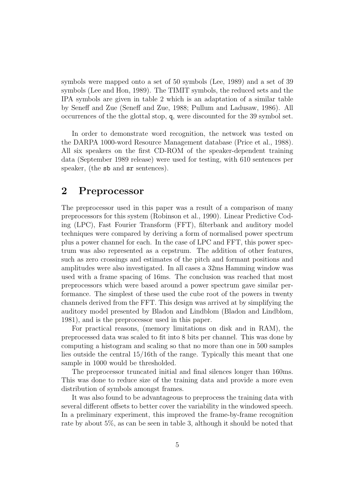symbols were mapped onto a set of 50 symbols (Lee, 1989) and a set of 39 symbols (Lee and Hon, 1989). The TIMIT symbols, the reduced sets and the IPA symbols are given in table 2 which is an adaptation of a similar table by Seneff and Zue (Seneff and Zue, 1988; Pullum and Ladusaw, 1986). All occurrences of the the glottal stop, q, were discounted for the 39 symbol set.

In order to demonstrate word recognition, the network was tested on the DARPA 1000-word Resource Management database (Price et al., 1988). All six speakers on the first CD-ROM of the speaker-dependent training data (September 1989 release) were used for testing, with 610 sentences per speaker, (the sb and  $sr$  sentences).

## 2 Preprocessor

The preprocessor used in this paper was a result of a comparison of many preprocessors for this system (Robinson et al., 1990). Linear Predictive Coding (LPC), Fast Fourier Transform (FFT), filterbank and auditory model techniques were compared by deriving a form of normalised power spectrum plus a power channel for each. In the case of LPC and FFT, this power spectrum was also represented as a cepstrum. The addition of other features, such as zero crossings and estimates of the pitch and formant positions and amplitudes were also investigated. In all cases a 32ms Hamming window was used with a frame spacing of 16ms. The conclusion was reached that most preprocessors which were based around a power spectrum gave similar performance. The simplest of these used the cube root of the powers in twenty channels derived from the FFT. This design was arrived at by simplifying the auditory model presented by Bladon and Lindblom (Bladon and Lindblom, 1981), and is the preprocessor used in this paper.

For practical reasons, (memory limitations on disk and in RAM), the preprocessed data was scaled to fit into 8 bits per channel. This was done by computing a histogram and scaling so that no more than one in 500 samples lies outside the central 15/16th of the range. Typically this meant that one sample in 1000 would be thresholded.

The preprocessor truncated initial and final silences longer than 160ms. This was done to reduce size of the training data and provide a more even distribution of symbols amongst frames.

It was also found to be advantageous to preprocess the training data with several different offsets to better cover the variability in the windowed speech. In a preliminary experiment, this improved the frame-by-frame recognition rate by about 5%, as can be seen in table 3, although it should be noted that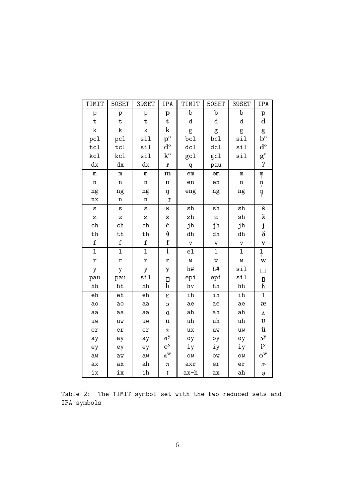| TIMIT          | 50SET          | 39SET          | IPA                                            | TIMIT        | 50SET        | 39SET        | IPA                                       |
|----------------|----------------|----------------|------------------------------------------------|--------------|--------------|--------------|-------------------------------------------|
| p              | p              | p              | $\, {\bf p}$                                   | b            | b            | b            | $\, {\bf p}$                              |
| ${\tt t}$      | $\mathbf t$    | $\mathbf t$    | $\mathbf t$                                    | d            | d            | d            | $\mathbf d$                               |
| k              | $\rm k$        | k              | ${\bf k}$                                      | g            | g            | g            | g                                         |
| pcl            | pcl            | sil            | $\mathbf{p}^{\text{o}}$                        | bc1          | bc1          | sil          | $\mathbf{b}^{\mathrm{o}}$                 |
| tc1            | tc1            | sil            | $\mathbf{d}^{\mathrm{o}}$                      | dc1          | dc1          | sil          | $\mathbf{d}^{\rm o}$                      |
| kcl            | kcl            | sil            | $\mathbf{k}^{\text{o}}$                        | gcl          | gcl          | sil          | $\mathbf{g}^{\text{o}}$                   |
| dx             | dx             | dx             | $\pmb{\Gamma}$                                 | q            | pau          |              | $\overline{1}$                            |
| ${\bf m}$      | $\mathbf m$    | ${\bf m}$      | m                                              | em           | em           | m            | $\underset{I}{\underbrace{\mathfrak{m}}}$ |
| $\mathbf n$    | $\mathbf n$    | $\mathbf n$    | $\mathbf n$                                    | $_{\rm en}$  | $_{\rm en}$  | $\mathbf n$  | $\frac{n}{l}$                             |
| ng             | ng             | ng             | ŋ                                              | eng          | ng           | ng           | ŋ                                         |
| nx             | $\mathbf n$    | $\mathbf n$    | $\mathbf{r}$                                   |              |              |              |                                           |
| $\mathtt{s}$   | S              | S              | ${\bf S}$                                      | ${\tt sh}$   | ${\tt sh}$   | ${\tt sh}$   | $\check{\mathbf{s}}$                      |
| Z              | Z              | Z              | Z                                              | zh           | Z            | ${\tt sh}$   | ž                                         |
| ch             | ch             | ch             | č                                              | jh           | jh           | jh           | $\check{\textbf{J}}$                      |
| $^{\rm th}$    | $^{\rm th}$    | $^{\rm th}$    | $\pmb{\theta}$                                 | dh           | dh           | dh           | $\eth$                                    |
| $\mathtt f$    | $\mathtt f$    | $\mathtt f$    | f                                              | $\mathtt{V}$ | $\mathtt{V}$ | $\mathtt{V}$ | $\overline{\mathbf{V}}$                   |
| $\mathbf 1$    | $\mathbf 1$    | $\overline{1}$ | $\overline{1}$                                 | el           | $\mathbf{I}$ | $\mathbf 1$  | ļ                                         |
| $\mathtt{r}$   | r              | r              | r                                              | W            | W            | W            | W                                         |
| y              | y              | y              | $\mathbf{y}$                                   | h#           | h#           | sil          | $\Box$                                    |
| pau            | pau            | sil            | $\Box$                                         | epi          | epi          | sil          | $\frac{\mathsf{I}}{\mathsf{h}}$           |
| hh             | hh             | hh             | $\mathbf h$                                    | hv           | hh           | hh           |                                           |
| e <sub>h</sub> | e <sub>h</sub> | ${\tt eh}$     | $\epsilon$                                     | ih           | ih           | ih           | $\mathbf I$                               |
| ao             | ao             | aa             | $\mathbf C$                                    | ae           | ae           | ae           | æ                                         |
| aa             | aa             | aa             | $\mathfrak{a}$                                 | ah           | ah           | ah           | $\pmb{\Lambda}$                           |
| uw             | uw             | uw             | u                                              | uh           | uh           | uh           | ${\bf U}$                                 |
| er             | er             | er             | $3^\mathrm{t}$                                 | ux           | uw           | uw           | ü                                         |
| ay             | ay             | ay             | $a^y$                                          | oy           | oy           | oy           | $\mathbf{a}^{\mathbf{y}}$                 |
| ey             | ey             | ey             | $e^y$                                          | iу           | iу           | iу           | $i^y$                                     |
| aw             | aw             | aw             | $\mathbf{a}^{\mathbf{w}}$                      | ow           | ow           | ow           | $o^{\mathbf{w}}$                          |
| ax             | ax             | ${\tt ah}$     | $\Theta$                                       | axr          | er           | er           | s,                                        |
| ix             | ix             | ih             | $\mathbf{I}% _{t}\left  \mathbf{I}_{t}\right $ | ax-h         | ax           | ah           | ė                                         |

Table 2: The TIMIT symbol set with the two reduced sets and IPA symbols